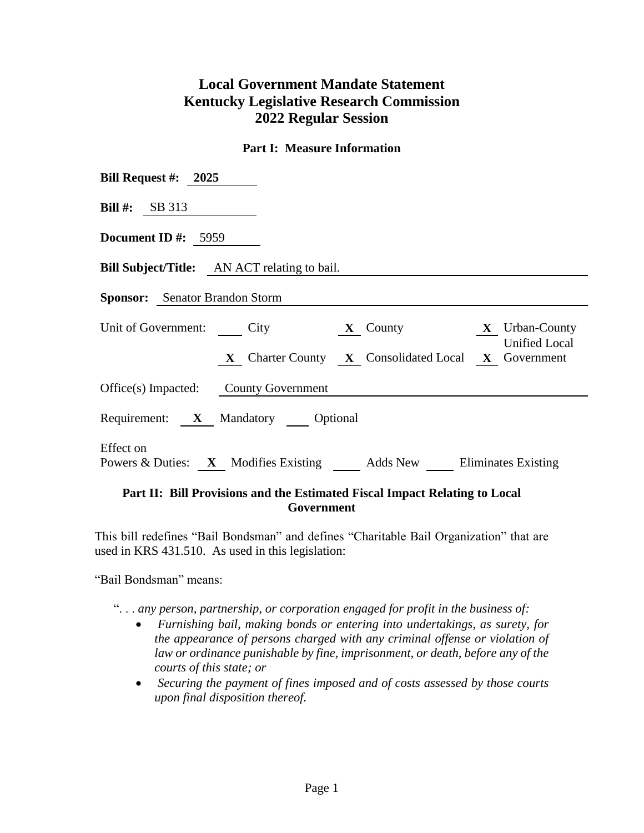# **Local Government Mandate Statement Kentucky Legislative Research Commission 2022 Regular Session**

#### **Part I: Measure Information**

| Bill Request #: $2025$                                                                 |  |  |  |  |  |  |
|----------------------------------------------------------------------------------------|--|--|--|--|--|--|
| Bill #: $SB 313$                                                                       |  |  |  |  |  |  |
| Document ID #: $5959$                                                                  |  |  |  |  |  |  |
| <b>Bill Subject/Title:</b> AN ACT relating to bail.                                    |  |  |  |  |  |  |
| <b>Sponsor:</b> Senator Brandon Storm                                                  |  |  |  |  |  |  |
| Unit of Government: City <b>X</b> County <b>X</b> Urban-County<br><b>Unified Local</b> |  |  |  |  |  |  |
| X Charter County X Consolidated Local X Government                                     |  |  |  |  |  |  |
| Office(s) Impacted: County Government                                                  |  |  |  |  |  |  |
| Requirement: X Mandatory Optional                                                      |  |  |  |  |  |  |
| Effect on<br>Powers & Duties: X Modifies Existing Adds New Eliminates Existing         |  |  |  |  |  |  |

### **Part II: Bill Provisions and the Estimated Fiscal Impact Relating to Local Government**

This bill redefines "Bail Bondsman" and defines "Charitable Bail Organization" that are used in KRS 431.510. As used in this legislation:

"Bail Bondsman" means:

". . . *any person, partnership, or corporation engaged for profit in the business of:*

- *Furnishing bail, making bonds or entering into undertakings, as surety, for the appearance of persons charged with any criminal offense or violation of law or ordinance punishable by fine, imprisonment, or death, before any of the courts of this state; or*
- *Securing the payment of fines imposed and of costs assessed by those courts upon final disposition thereof.*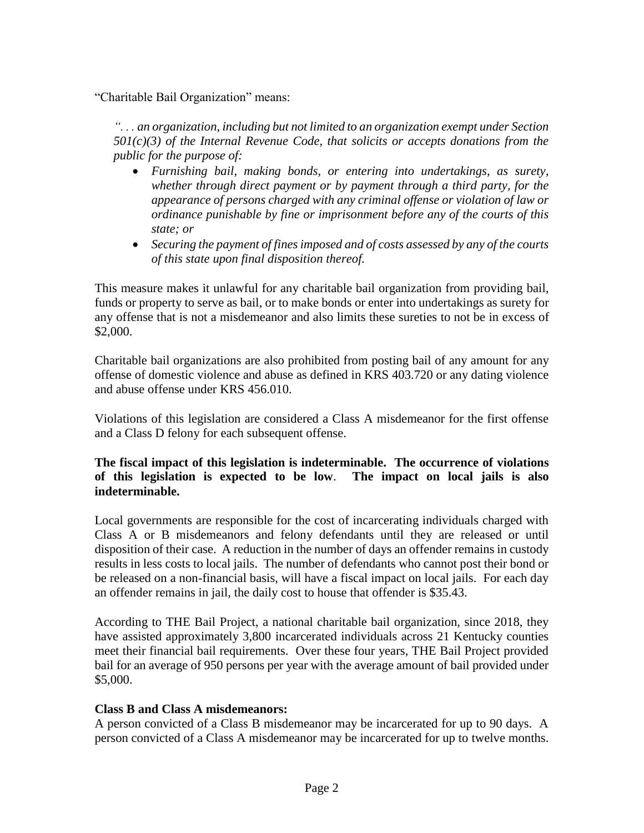"Charitable Bail Organization" means:

*". . . an organization, including but not limited to an organization exempt under Section 501(c)(3) of the Internal Revenue Code, that solicits or accepts donations from the public for the purpose of:*

- *Furnishing bail, making bonds, or entering into undertakings, as surety, whether through direct payment or by payment through a third party, for the appearance of persons charged with any criminal offense or violation of law or ordinance punishable by fine or imprisonment before any of the courts of this state; or*
- *Securing the payment of fines imposed and of costs assessed by any of the courts of this state upon final disposition thereof.*

This measure makes it unlawful for any charitable bail organization from providing bail, funds or property to serve as bail, or to make bonds or enter into undertakings as surety for any offense that is not a misdemeanor and also limits these sureties to not be in excess of \$2,000.

Charitable bail organizations are also prohibited from posting bail of any amount for any offense of domestic violence and abuse as defined in KRS 403.720 or any dating violence and abuse offense under KRS 456.010.

Violations of this legislation are considered a Class A misdemeanor for the first offense and a Class D felony for each subsequent offense.

#### **The fiscal impact of this legislation is indeterminable. The occurrence of violations of this legislation is expected to be low**. **The impact on local jails is also indeterminable.**

Local governments are responsible for the cost of incarcerating individuals charged with Class A or B misdemeanors and felony defendants until they are released or until disposition of their case. A reduction in the number of days an offender remains in custody results in less costs to local jails. The number of defendants who cannot post their bond or be released on a non-financial basis, will have a fiscal impact on local jails. For each day an offender remains in jail, the daily cost to house that offender is \$35.43.

According to THE Bail Project, a national charitable bail organization, since 2018, they have assisted approximately 3,800 incarcerated individuals across 21 Kentucky counties meet their financial bail requirements. Over these four years, THE Bail Project provided bail for an average of 950 persons per year with the average amount of bail provided under \$5,000.

#### **Class B and Class A misdemeanors:**

A person convicted of a Class B misdemeanor may be incarcerated for up to 90 days. A person convicted of a Class A misdemeanor may be incarcerated for up to twelve months.